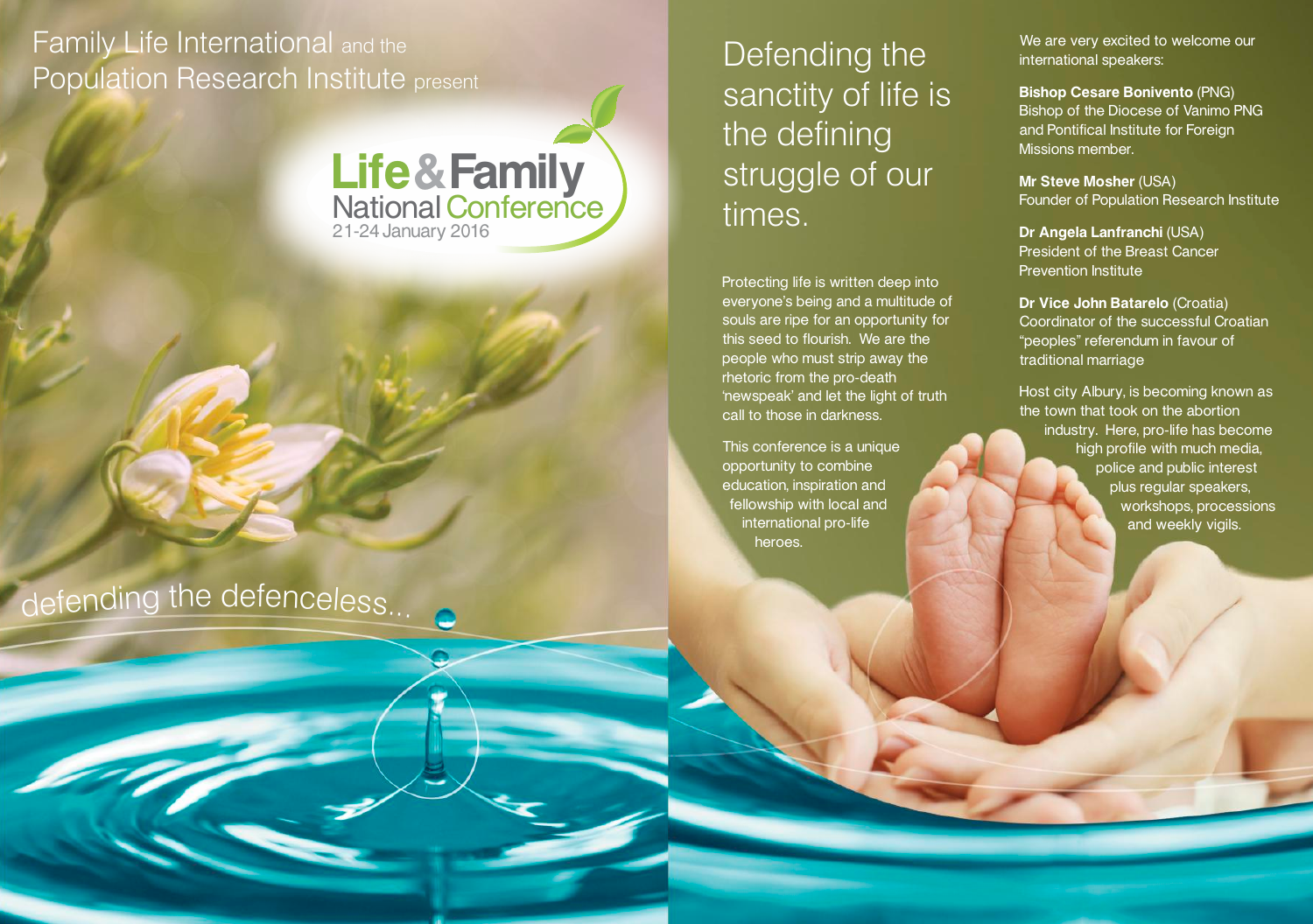# Family Life International and the Population Research Institute present



# defending the defenceless...

Defending the sanctity of life is the defining struggle of our times.

Protecting life is written deep into everyone's being and a multitude of souls are ripe for an opportunity for this seed to flourish. We are the people who must strip away the rhetoric from the pro-death 'newspeak' and let the light of truth call to those in darkness.

This conference is a unique opportunity to combine education, inspiration and fellowship with local and international pro-life heroes.

We are very excited to welcome our international speakers:

**Bishop Cesare Bonivento** (PNG) Bishop of the Diocese of Vanimo PNG and Pontifical Institute for Foreign Missions member.

**Mr Steve Mosher** (USA) Founder of Population Research Institute

**Dr Angela Lanfranchi** (USA) President of the Breast Cancer Prevention Institute

**Dr Vice John Batarelo** (Croatia) Coordinator of the successful Croatian "peoples" referendum in favour of traditional marriage

Host city Albury, is becoming known as the town that took on the abortion industry. Here, pro-life has become high profile with much media, police and public interest plus regular speakers, workshops, processions and weekly vigils.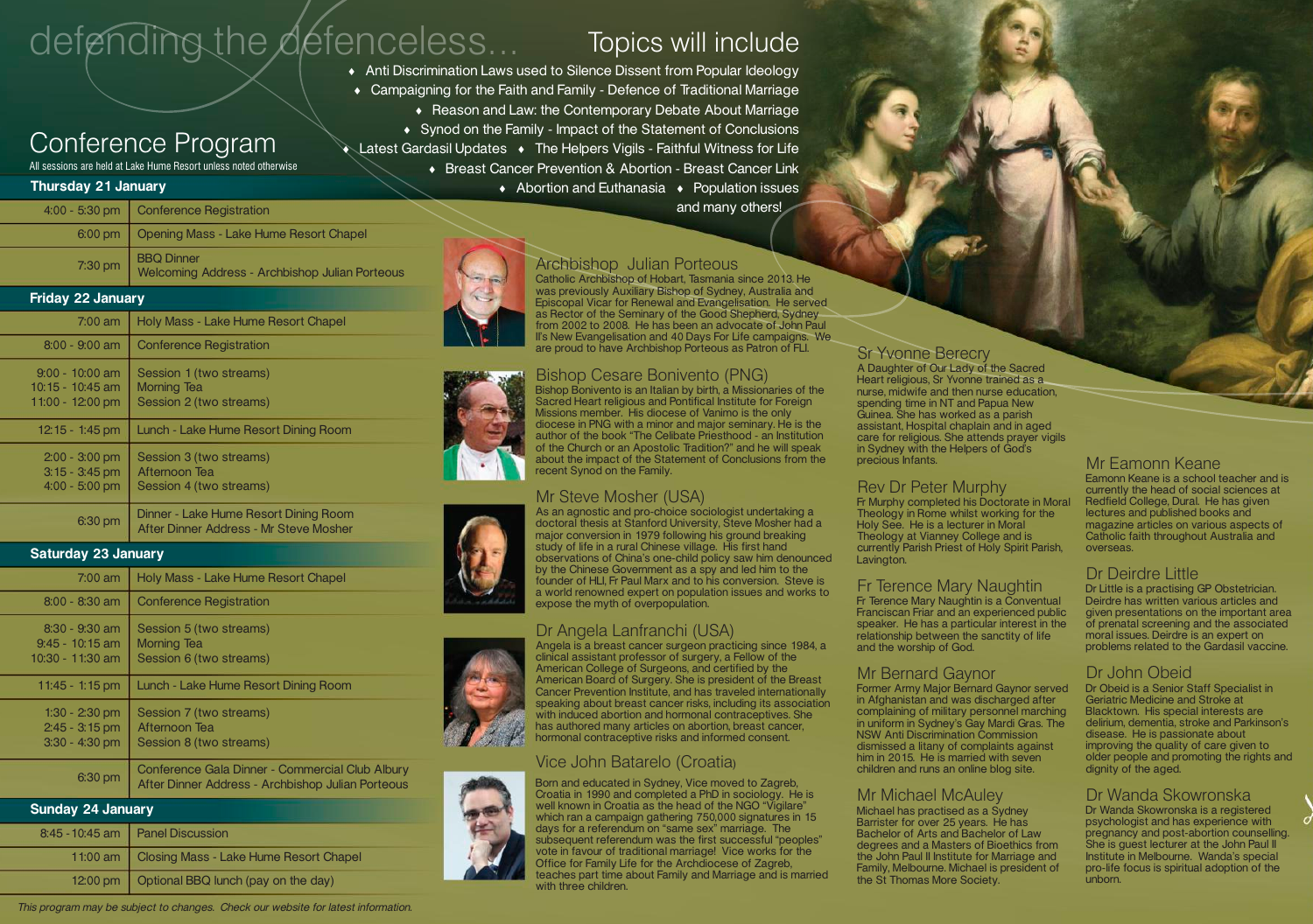# defending the defenceless...

# Topics will include

6 Anti Discrimination Laws used to Silence Dissent from Popular Ideology • Campaigning for the Faith and Family - Defence of Traditional Marriage • Reason and Law: the Contemporary Debate About Marriage • Synod on the Family - Impact of the Statement of Conclusions Latest Gardasil Updates  $\bullet$  The Helpers Vigils - Faithful Witness for Life 6 Breast Cancer Prevention & Abortion - Breast Cancer Link  $\triangle$  Abortion and Euthanasia  $\triangle$  Population issues

and many others!

### Archbishop Julian Porteous

Catholic Archbishop of Hobart, Tasmania since 2013. He was previously Auxiliary Bishop of Sydney, Australia and Episcopal Vicar for Renewal and Evangelisation. He served as Rector of the Seminary of the Good Shepherd, Sydney from 2002 to 2008. He has been an advocate of John Paul II's New Evangelisation and 40 Days For Life campaigns. We are proud to have Archbishop Porteous as Patron of FLI.

#### Bishop Cesare Bonivento (PNG)

Bishop Bonivento is an Italian by birth, a Missionaries of the Sacred Heart religious and Pontifical Institute for Foreign Missions member. His diocese of Vanimo is the only diocese in PNG with a minor and major seminary. He is the author of the book "The Celibate Priesthood - an Institution of the Church or an Apostolic Tradition?" and he will speak about the impact of the Statement of Conclusions from the recent Synod on the Family.

#### Mr Steve Mosher (USA)

As an agnostic and pro-choice sociologist undertaking a doctoral thesis at Stanford University, Steve Mosher had a major conversion in 1979 following his ground breaking study of life in a rural Chinese village. His first hand observations of China's one-child policy saw him denounced by the Chinese Government as a spy and led him to the founder of HLI, Fr Paul Marx and to his conversion. Steve is a world renowned expert on population issues and works to expose the myth of overpopulation.

#### Dr Angela Lanfranchi (USA)

Angela is a breast cancer surgeon practicing since 1984, a clinical assistant professor of surgery, a Fellow of the American College of Surgeons, and certified by the American Board of Surgery. She is president of the Breast Cancer Prevention Institute, and has traveled internationally speaking about breast cancer risks, including its association with induced abortion and hormonal contraceptives. She has authored many articles on abortion, breast cancer, hormonal contraceptive risks and informed consent.

#### Vice John Batarelo (Croatia)

Born and educated in Sydney, Vice moved to Zagreb, Croatia in 1990 and completed a PhD in sociology. He is well known in Croatia as the head of the NGO "Vigilare" which ran a campaign gathering 750,000 signatures in 15 days for a referendum on "same sex" marriage. The subsequent referendum was the first successful "peoples" vote in favour of traditional marriage! Vice works for the Office for Family Life for the Archdiocese of Zagreb, teaches part time about Family and Marriage and is married with three children.

#### Sr Yvonne Berecry

A Daughter of Our Lady of the Sacred Heart religious, Sr Yvonne trained as a nurse, midwife and then nurse education, spending time in NT and Papua New Guinea. She has worked as a parish assistant, Hospital chaplain and in aged care for religious. She attends prayer vigils in Sydney with the Helpers of God's precious Infants.

#### Rev Dr Peter Murphy

Fr Murphy completed his Doctorate in Moral Theology in Rome whilst working for the Holy See. He is a lecturer in Moral Theology at Vianney College and is currently Parish Priest of Holy Spirit Parish, Lavington.

### Fr Terence Mary Naughtin

Fr Terence Mary Naughtin is a Conventual Franciscan Friar and an experienced public speaker. He has a particular interest in the relationship between the sanctity of life and the worship of God.

#### Mr Bernard Gaynor

Former Army Major Bernard Gaynor served in Afghanistan and was discharged after complaining of military personnel marching in uniform in Sydney's Gay Mardi Gras. The NSW Anti Discrimination Commission dismissed a litany of complaints against him in 2015. He is married with seven children and runs an online blog site.

#### Mr Michael McAuley

Michael has practised as a Sydney Barrister for over 25 years. He has Bachelor of Arts and Bachelor of Law degrees and a Masters of Bioethics from the John Paul II Institute for Marriage and Family, Melbourne. Michael is president of the St Thomas More Society.

#### Mr Eamonn Keane Eamonn Keane is a school teacher and is

currently the head of social sciences at Redfield College, Dural. He has given lectures and published books and magazine articles on various aspects of Catholic faith throughout Australia and overseas.

#### Dr Deirdre Little

Dr Little is a practising GP Obstetrician. Deirdre has written various articles and given presentations on the important area of prenatal screening and the associated moral issues. Deirdre is an expert on problems related to the Gardasil vaccine.

#### Dr John Obeid

Dr Obeid is a Senior Staff Specialist in Geriatric Medicine and Stroke at Blacktown. His special interests are delirium, dementia, stroke and Parkinson's disease. He is passionate about improving the quality of care given to older people and promoting the rights and dignity of the aged.

#### Dr Wanda Skowronska

Dr Wanda Skowronska is a registered psychologist and has experience with pregnancy and post-abortion counselling. She is guest lecturer at the John Paul II Institute in Melbourne. Wanda's special pro-life focus is spiritual adoption of the unborn.

# Conference Program

All sessions are held at Lake Hume Resort unless noted otherwise

| <b>Thursday 21 January</b>                                |                                                                          |  |  |  |  |  |
|-----------------------------------------------------------|--------------------------------------------------------------------------|--|--|--|--|--|
| $4:00 - 5:30$ pm                                          | <b>Conference Registration</b>                                           |  |  |  |  |  |
| $6:00$ pm                                                 | Opening Mass - Lake Hume Resort Chapel                                   |  |  |  |  |  |
| $7:30$ pm                                                 | <b>BBQ Dinner</b><br>Welcoming Address - Archbishop Julian Porteous      |  |  |  |  |  |
| <b>Friday 22 January</b>                                  |                                                                          |  |  |  |  |  |
| $7:00$ am                                                 | Holy Mass - Lake Hume Resort Chapel                                      |  |  |  |  |  |
| $8:00 - 9:00$ am                                          | <b>Conference Registration</b>                                           |  |  |  |  |  |
| $9:00 - 10:00$ am<br>10:15 - 10:45 am<br>11:00 - 12:00 pm | Session 1 (two streams)<br><b>Morning Tea</b><br>Session 2 (two streams) |  |  |  |  |  |
| 12:15 - 1:45 pm                                           | Lunch - Lake Hume Resort Dining Room                                     |  |  |  |  |  |
| $2:00 - 3:00$ pm<br>$3:15 - 3:45$ pm<br>$4:00 - 5:00$ pm  | Session 3 (two streams)<br>Afternoon Tea<br>Session 4 (two streams)      |  |  |  |  |  |
|                                                           | Disabel - Letre Human Depart Dision Depu                                 |  |  |  |  |  |

6:30 pm Dinner - Lake Hume Resort Dining Room After Dinner Address - Mr Steve Mosher

#### **Saturday 23 January**

| $7:00$ am                                                 | Holy Mass - Lake Hume Resort Chapel                                                                  |  |  |
|-----------------------------------------------------------|------------------------------------------------------------------------------------------------------|--|--|
| $8:00 - 8:30$ am                                          | <b>Conference Registration</b>                                                                       |  |  |
| $8:30 - 9:30$ am<br>$9:45 - 10:15$ am<br>10:30 - 11:30 am | Session 5 (two streams)<br><b>Morning Tea</b><br>Session 6 (two streams)                             |  |  |
| $11:45 - 1:15$ pm                                         | Lunch - Lake Hume Resort Dining Room                                                                 |  |  |
| $1:30 - 2:30$ pm<br>$2:45 - 3:15$ pm<br>$3:30 - 4:30$ pm  | Session 7 (two streams)<br>Afternoon Tea<br>Session 8 (two streams)                                  |  |  |
| 6:30 pm                                                   | Conference Gala Dinner - Commercial Club Albury<br>After Dinner Address - Archbishop Julian Porteous |  |  |
| <b>Sunday 24 January</b>                                  |                                                                                                      |  |  |

| $\sqrt{2}$         |                                                   |  |  |  |  |
|--------------------|---------------------------------------------------|--|--|--|--|
| $8:45 - 10:45$ am  | <b>Panel Discussion</b>                           |  |  |  |  |
|                    | 11:00 am   Closing Mass - Lake Hume Resort Chapel |  |  |  |  |
| $12:00 \text{ pm}$ | Optional BBQ lunch (pay on the day)               |  |  |  |  |

This program may be subject to changes. Check our website for latest information.







![](_page_1_Picture_43.jpeg)